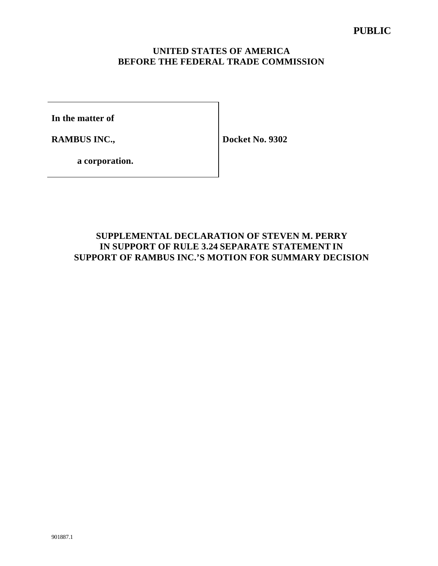## **UNITED STATES OF AMERICA BEFORE THE FEDERAL TRADE COMMISSION**

**In the matter of**

**RAMBUS INC.,** 

**Docket No. 9302**

**a corporation.**

## **SUPPLEMENTAL DECLARATION OF STEVEN M. PERRY IN SUPPORT OF RULE 3.24 SEPARATE STATEMENT IN SUPPORT OF RAMBUS INC.'S MOTION FOR SUMMARY DECISION**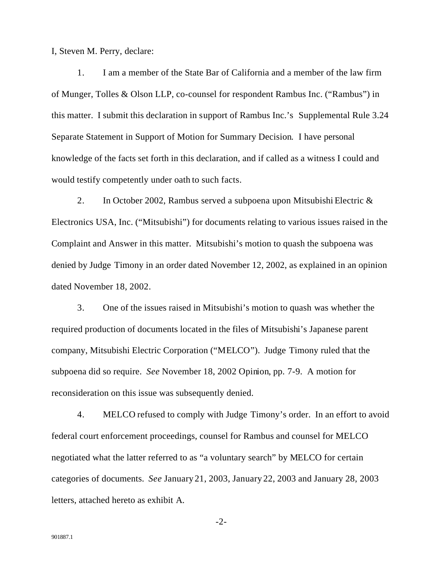I, Steven M. Perry, declare:

1. I am a member of the State Bar of California and a member of the law firm of Munger, Tolles & Olson LLP, co-counsel for respondent Rambus Inc. ("Rambus") in this matter. I submit this declaration in support of Rambus Inc.'s Supplemental Rule 3.24 Separate Statement in Support of Motion for Summary Decision. I have personal knowledge of the facts set forth in this declaration, and if called as a witness I could and would testify competently under oath to such facts.

2. In October 2002, Rambus served a subpoena upon Mitsubishi Electric & Electronics USA, Inc. ("Mitsubishi") for documents relating to various issues raised in the Complaint and Answer in this matter. Mitsubishi's motion to quash the subpoena was denied by Judge Timony in an order dated November 12, 2002, as explained in an opinion dated November 18, 2002.

3. One of the issues raised in Mitsubishi's motion to quash was whether the required production of documents located in the files of Mitsubishi's Japanese parent company, Mitsubishi Electric Corporation ("MELCO"). Judge Timony ruled that the subpoena did so require. *See* November 18, 2002 Opinion, pp. 7-9. A motion for reconsideration on this issue was subsequently denied.

4. MELCO refused to comply with Judge Timony's order. In an effort to avoid federal court enforcement proceedings, counsel for Rambus and counsel for MELCO negotiated what the latter referred to as "a voluntary search" by MELCO for certain categories of documents. *See* January 21, 2003, January 22, 2003 and January 28, 2003 letters, attached hereto as exhibit A.